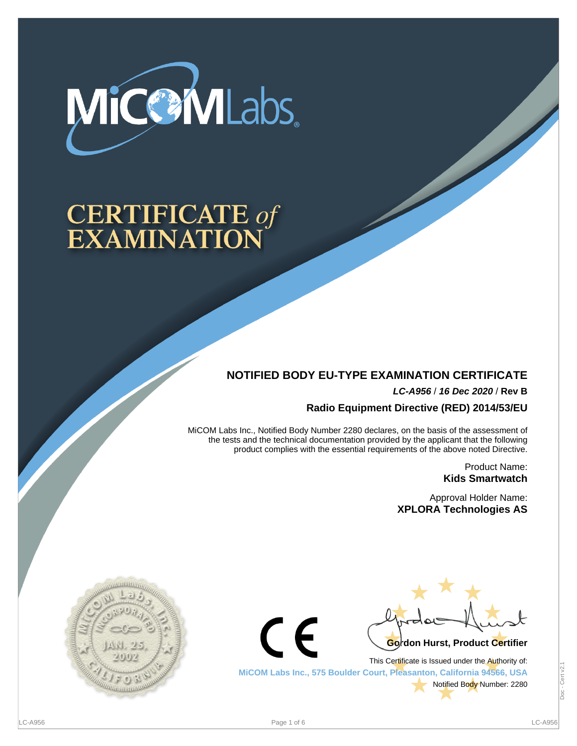

# **CERTIFICATE of<br>EXAMINATION**

# **NOTIFIED BODY EU-TYPE EXAMINATION CERTIFICATE**

**LC-A956** / **16 Dec 2020** / **Rev B**

**Radio Equipment Directive (RED) 2014/53/EU**

MiCOM Labs Inc., Notified Body Number 2280 declares, on the basis of the assessment of the tests and the technical documentation provided by the applicant that the following product complies with the essential requirements of the above noted Directive.

> Product Name: **Kids Smartwatch**

Approval Holder Name: **XPLORA Technologies AS**





This Certificate is Issued under the Authority of: **MiCOM Labs Inc., 575 Boulder Court, Pleasanton, California 94566, USA** Notified Body Number: 2280

 $\epsilon$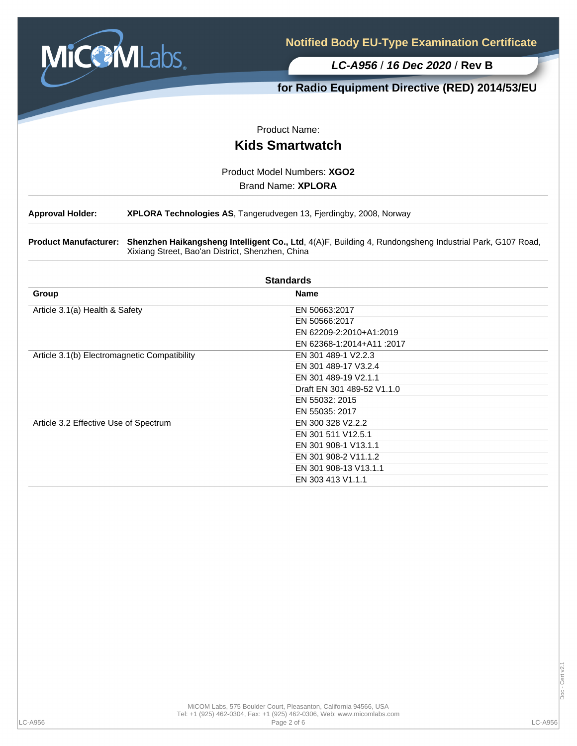

# **for Radio Equipment Directive (RED) 2014/53/EU**

Product Name:

# **Kids Smartwatch**

Product Model Numbers: **XGO2**

Brand Name: **XPLORA**

**Approval Holder: XPLORA Technologies AS**, Tangerudvegen 13, Fjerdingby, 2008, Norway

**Product Manufacturer: Shenzhen Haikangsheng Intelligent Co., Ltd**, 4(A)F, Building 4, Rundongsheng Industrial Park, G107 Road, Xixiang Street, Bao'an District, Shenzhen, China

| <b>Standards</b>                             |                            |  |  |  |
|----------------------------------------------|----------------------------|--|--|--|
| Group                                        | <b>Name</b>                |  |  |  |
| Article 3.1(a) Health & Safety               | EN 50663:2017              |  |  |  |
|                                              | EN 50566:2017              |  |  |  |
|                                              | EN 62209-2:2010+A1:2019    |  |  |  |
|                                              | EN 62368-1:2014+A11:2017   |  |  |  |
| Article 3.1(b) Electromagnetic Compatibility | EN 301 489-1 V2.2.3        |  |  |  |
|                                              | EN 301 489-17 V3.2.4       |  |  |  |
|                                              | EN 301 489-19 V2.1.1       |  |  |  |
|                                              | Draft EN 301 489-52 V1.1.0 |  |  |  |
|                                              | EN 55032: 2015             |  |  |  |
|                                              | EN 55035: 2017             |  |  |  |
| Article 3.2 Effective Use of Spectrum        | EN 300 328 V2.2.2          |  |  |  |
|                                              | EN 301 511 V12.5.1         |  |  |  |
|                                              | EN 301 908-1 V13.1.1       |  |  |  |
|                                              | EN 301 908-2 V11.1.2       |  |  |  |
|                                              | EN 301 908-13 V13.1.1      |  |  |  |
|                                              | EN 303 413 V1.1.1          |  |  |  |

Cert v2.1 Doc - Cert v2.1Doc-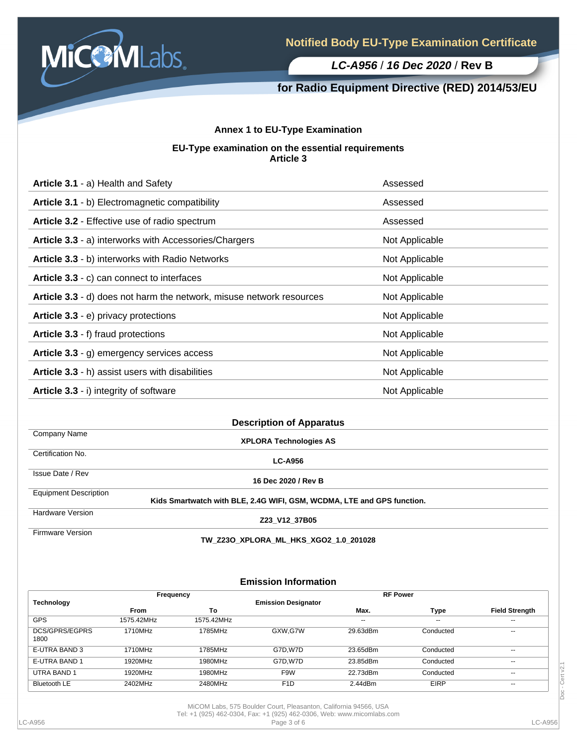

# **for Radio Equipment Directive (RED) 2014/53/EU**

## **Annex 1 to EU-Type Examination**

#### **EU-Type examination on the essential requirements Article 3**

| Article 3.1 - a) Health and Safety                                   | Assessed       |
|----------------------------------------------------------------------|----------------|
| Article 3.1 - b) Electromagnetic compatibility                       | Assessed       |
| Article 3.2 - Effective use of radio spectrum                        | Assessed       |
| Article 3.3 - a) interworks with Accessories/Chargers                | Not Applicable |
| Article 3.3 - b) interworks with Radio Networks                      | Not Applicable |
| Article 3.3 - c) can connect to interfaces                           | Not Applicable |
| Article 3.3 - d) does not harm the network, misuse network resources | Not Applicable |
| Article 3.3 - e) privacy protections                                 | Not Applicable |
| Article 3.3 - f) fraud protections                                   | Not Applicable |
| Article 3.3 - g) emergency services access                           | Not Applicable |
| Article 3.3 - h) assist users with disabilities                      | Not Applicable |
| Article 3.3 - i) integrity of software                               | Not Applicable |
|                                                                      |                |

| <b>Description of Apparatus</b> |                                                                        |  |  |  |
|---------------------------------|------------------------------------------------------------------------|--|--|--|
| Company Name                    | <b>XPLORA Technologies AS</b>                                          |  |  |  |
| Certification No.               | <b>LC-A956</b>                                                         |  |  |  |
| Issue Date / Rev                | 16 Dec 2020 / Rev B                                                    |  |  |  |
| <b>Equipment Description</b>    | Kids Smartwatch with BLE, 2.4G WIFI, GSM, WCDMA, LTE and GPS function. |  |  |  |
| <b>Hardware Version</b>         | Z23 V12 37B05                                                          |  |  |  |
| <b>Firmware Version</b>         |                                                                        |  |  |  |

**TW\_Z23O\_XPLORA\_ML\_HKS\_XGO2\_1.0\_201028**

| Technology             | Frequency  |            | <b>Emission Designator</b> | <b>RF Power</b>          |                          |                          |
|------------------------|------------|------------|----------------------------|--------------------------|--------------------------|--------------------------|
|                        | From       | To         |                            | Max.                     | Type                     | <b>Field Strength</b>    |
| <b>GPS</b>             | 1575.42MHz | 1575.42MHz |                            | $\overline{\phantom{m}}$ | $\overline{\phantom{a}}$ | $- -$                    |
| DCS/GPRS/EGPRS<br>1800 | 1710MHz    | 1785MHz    | GXW.G7W                    | 29.63dBm                 | Conducted                | $\overline{\phantom{m}}$ |
| E-UTRA BAND 3          | 1710MHz    | 1785MHz    | G7D.W7D                    | 23.65dBm                 | Conducted                | $\overline{\phantom{m}}$ |
| E-UTRA BAND 1          | 1920MHz    | 1980MHz    | G7D.W7D                    | 23.85dBm                 | Conducted                | $\overline{\phantom{m}}$ |
| <b>UTRA BAND 1</b>     | 1920MHz    | 1980MHz    | F9W                        | 22.73dBm                 | Conducted                | $\overline{\phantom{a}}$ |
| <b>Bluetooth LE</b>    | 2402MHz    | 2480MHz    | F <sub>1</sub> D           | 2.44dBm                  | <b>EIRP</b>              | $\overline{\phantom{a}}$ |

# **Emission Information**

LC-A956 Page 3 of 6 LC-A956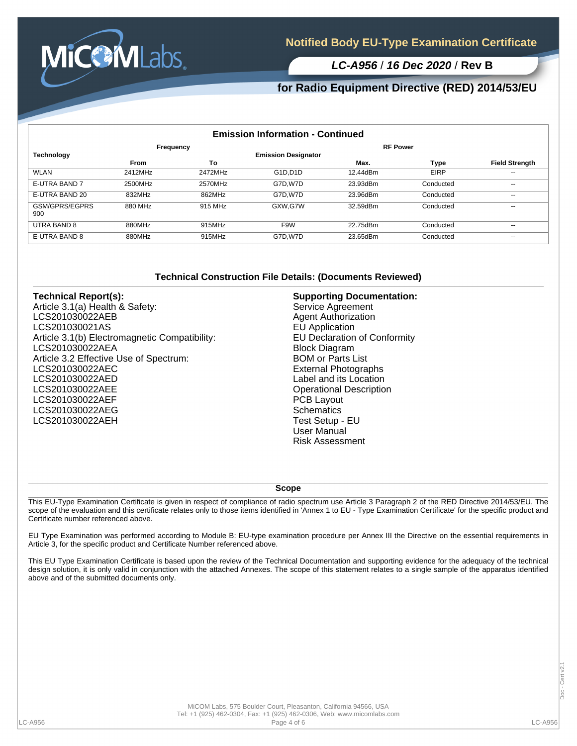

## **for Radio Equipment Directive (RED) 2014/53/EU**

| <b>Emission Information - Continued</b> |             |         |                                                |          |             |                          |
|-----------------------------------------|-------------|---------|------------------------------------------------|----------|-------------|--------------------------|
|                                         | Frequency   |         | <b>RF Power</b>                                |          |             |                          |
| <b>Technology</b>                       |             |         | <b>Emission Designator</b>                     |          |             |                          |
|                                         | <b>From</b> | To      |                                                | Max.     | Type        | <b>Field Strength</b>    |
| <b>WLAN</b>                             | 2412MHz     | 2472MHz | G <sub>1</sub> D <sub>.</sub> D <sub>1</sub> D | 12.44dBm | <b>EIRP</b> | $\overline{\phantom{a}}$ |
| E-UTRA BAND 7                           | 2500MHz     | 2570MHz | G7D.W7D                                        | 23.93dBm | Conducted   | $\sim$                   |
| E-UTRA BAND 20                          | 832MHz      | 862MHz  | G7D.W7D                                        | 23.96dBm | Conducted   | $-$                      |
| GSM/GPRS/EGPRS<br>900                   | 880 MHz     | 915 MHz | GXW,G7W                                        | 32.59dBm | Conducted   | $\sim$                   |
| UTRA BAND 8                             | 880MHz      | 915MHz  | F9W                                            | 22.75dBm | Conducted   | $\sim$                   |
| E-UTRA BAND 8                           | 880MHz      | 915MHz  | G7D.W7D                                        | 23.65dBm | Conducted   | $\sim$                   |

#### **Technical Construction File Details: (Documents Reviewed)**

#### **Technical Report(s):**

Article 3.1(a) Health & Safety: LCS201030022AEB LCS201030021AS Article 3.1(b) Electromagnetic Compatibility: LCS201030022AEA Article 3.2 Effective Use of Spectrum: LCS201030022AEC LCS201030022AED LCS201030022AEE LCS201030022AEF LCS201030022AEG LCS201030022AEH

#### **Supporting Documentation:** Service Agreement Agent Authorization EU Application EU Declaration of Conformity Block Diagram BOM or Parts List External Photographs Label and its Location Operational Description PCB Layout **Schematics** Test Setup - EU User Manual Risk Assessment

#### **Scope**

This EU-Type Examination Certificate is given in respect of compliance of radio spectrum use Article 3 Paragraph 2 of the RED Directive 2014/53/EU. The scope of the evaluation and this certificate relates only to those items identified in 'Annex 1 to EU - Type Examination Certificate' for the specific product and Certificate number referenced above.

EU Type Examination was performed according to Module B: EU-type examination procedure per Annex III the Directive on the essential requirements in Article 3, for the specific product and Certificate Number referenced above.

This EU Type Examination Certificate is based upon the review of the Technical Documentation and supporting evidence for the adequacy of the technical design solution, it is only valid in conjunction with the attached Annexes. The scope of this statement relates to a single sample of the apparatus identified above and of the submitted documents only.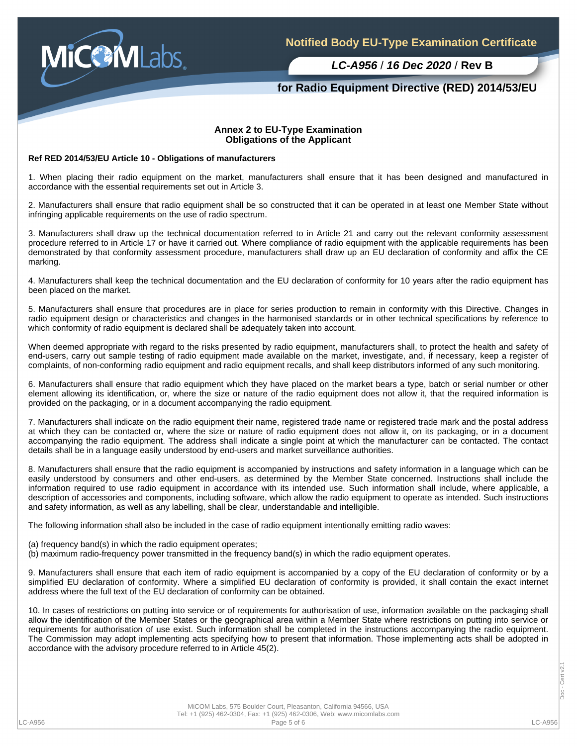

## **for Radio Equipment Directive (RED) 2014/53/EU**

#### **Annex 2 to EU-Type Examination Obligations of the Applicant**

#### **Ref RED 2014/53/EU Article 10 - Obligations of manufacturers**

1. When placing their radio equipment on the market, manufacturers shall ensure that it has been designed and manufactured in accordance with the essential requirements set out in Article 3.

2. Manufacturers shall ensure that radio equipment shall be so constructed that it can be operated in at least one Member State without infringing applicable requirements on the use of radio spectrum.

3. Manufacturers shall draw up the technical documentation referred to in Article 21 and carry out the relevant conformity assessment procedure referred to in Article 17 or have it carried out. Where compliance of radio equipment with the applicable requirements has been demonstrated by that conformity assessment procedure, manufacturers shall draw up an EU declaration of conformity and affix the CE marking.

4. Manufacturers shall keep the technical documentation and the EU declaration of conformity for 10 years after the radio equipment has been placed on the market.

5. Manufacturers shall ensure that procedures are in place for series production to remain in conformity with this Directive. Changes in radio equipment design or characteristics and changes in the harmonised standards or in other technical specifications by reference to which conformity of radio equipment is declared shall be adequately taken into account.

When deemed appropriate with regard to the risks presented by radio equipment, manufacturers shall, to protect the health and safety of end-users, carry out sample testing of radio equipment made available on the market, investigate, and, if necessary, keep a register of complaints, of non-conforming radio equipment and radio equipment recalls, and shall keep distributors informed of any such monitoring.

6. Manufacturers shall ensure that radio equipment which they have placed on the market bears a type, batch or serial number or other element allowing its identification, or, where the size or nature of the radio equipment does not allow it, that the required information is provided on the packaging, or in a document accompanying the radio equipment.

7. Manufacturers shall indicate on the radio equipment their name, registered trade name or registered trade mark and the postal address at which they can be contacted or, where the size or nature of radio equipment does not allow it, on its packaging, or in a document accompanying the radio equipment. The address shall indicate a single point at which the manufacturer can be contacted. The contact details shall be in a language easily understood by end-users and market surveillance authorities.

8. Manufacturers shall ensure that the radio equipment is accompanied by instructions and safety information in a language which can be easily understood by consumers and other end-users, as determined by the Member State concerned. Instructions shall include the information required to use radio equipment in accordance with its intended use. Such information shall include, where applicable, a description of accessories and components, including software, which allow the radio equipment to operate as intended. Such instructions and safety information, as well as any labelling, shall be clear, understandable and intelligible.

The following information shall also be included in the case of radio equipment intentionally emitting radio waves:

(a) frequency band(s) in which the radio equipment operates;

(b) maximum radio-frequency power transmitted in the frequency band(s) in which the radio equipment operates.

9. Manufacturers shall ensure that each item of radio equipment is accompanied by a copy of the EU declaration of conformity or by a simplified EU declaration of conformity. Where a simplified EU declaration of conformity is provided, it shall contain the exact internet address where the full text of the EU declaration of conformity can be obtained.

10. In cases of restrictions on putting into service or of requirements for authorisation of use, information available on the packaging shall allow the identification of the Member States or the geographical area within a Member State where restrictions on putting into service or requirements for authorisation of use exist. Such information shall be completed in the instructions accompanying the radio equipment. The Commission may adopt implementing acts specifying how to present that information. Those implementing acts shall be adopted in accordance with the advisory procedure referred to in Article 45(2).